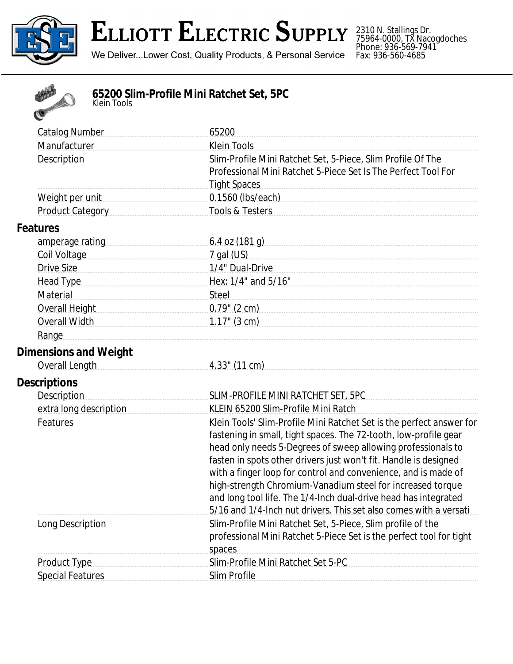

## ELLIOTT ELECTRIC SUPPLY

We Deliver...Lower Cost, Quality Products, & Personal Service

2310 N. Stallings Dr. 75964-0000, TX Nacogdoches Phone: 936-569-7941 Fax: 936-560-4685



## **65200 Slim-Profile Mini Ratchet Set, 5PC** *Klein Tools*

| <b>Catalog Number</b>                                                                                                                                                                                                          | 65200                                                                                                                                                                                                                               |
|--------------------------------------------------------------------------------------------------------------------------------------------------------------------------------------------------------------------------------|-------------------------------------------------------------------------------------------------------------------------------------------------------------------------------------------------------------------------------------|
| Manufacturer                                                                                                                                                                                                                   | <b>Klein Tools</b>                                                                                                                                                                                                                  |
| Description                                                                                                                                                                                                                    | Slim-Profile Mini Ratchet Set, 5-Piece, Slim Profile Of The                                                                                                                                                                         |
|                                                                                                                                                                                                                                | Professional Mini Ratchet 5-Piece Set Is The Perfect Tool For                                                                                                                                                                       |
|                                                                                                                                                                                                                                | <b>Tight Spaces</b>                                                                                                                                                                                                                 |
| Weight per unit                                                                                                                                                                                                                | 0.1560 (Ibs/each)                                                                                                                                                                                                                   |
| Product Category Product Category                                                                                                                                                                                              | Tools & Testers                                                                                                                                                                                                                     |
| <b>Features</b>                                                                                                                                                                                                                |                                                                                                                                                                                                                                     |
| amperage rating example and amperage rating                                                                                                                                                                                    | 6.4 oz (181 g)                                                                                                                                                                                                                      |
| Coil Voltage                                                                                                                                                                                                                   | 7 gal (US)                                                                                                                                                                                                                          |
| Drive Size                                                                                                                                                                                                                     | 1/4" Dual-Drive <b>Maria Communication</b> Communication and Communication and Communication and Communication and Communication and Communication and Communication and Communication and Communication and Communication and Comm |
| Head Type <b>Manual</b> Head Type                                                                                                                                                                                              | Hex: 1/4" and 5/16"                                                                                                                                                                                                                 |
| Material                                                                                                                                                                                                                       | Steel                                                                                                                                                                                                                               |
| Overall Height Network Contract Contract Contract Contract Contract Contract Contract Contract Contract Contract Contract Contract Contract Contract Contract Contract Contract Contract Contract Contract Contract Contract C | 0.79" (2 cm)                                                                                                                                                                                                                        |
|                                                                                                                                                                                                                                |                                                                                                                                                                                                                                     |
| Range                                                                                                                                                                                                                          |                                                                                                                                                                                                                                     |
| <b>Dimensions and Weight</b>                                                                                                                                                                                                   |                                                                                                                                                                                                                                     |
| Overall Length                                                                                                                                                                                                                 | 4.33" (11 cm)                                                                                                                                                                                                                       |
| <b>Descriptions</b>                                                                                                                                                                                                            |                                                                                                                                                                                                                                     |
| <b>Description</b>                                                                                                                                                                                                             | SLIM-PROFILE MINI RATCHET SET, 5PC                                                                                                                                                                                                  |
| extra long description                                                                                                                                                                                                         | KLEIN 65200 Slim-Profile Mini Ratch                                                                                                                                                                                                 |
| Features                                                                                                                                                                                                                       | Klein Tools' Slim-Profile Mini Ratchet Set is the perfect answer for                                                                                                                                                                |
|                                                                                                                                                                                                                                | fastening in small, tight spaces. The 72-tooth, low-profile gear                                                                                                                                                                    |
|                                                                                                                                                                                                                                | head only needs 5-Degrees of sweep allowing professionals to                                                                                                                                                                        |
|                                                                                                                                                                                                                                | fasten in spots other drivers just won't fit. Handle is designed                                                                                                                                                                    |
|                                                                                                                                                                                                                                | with a finger loop for control and convenience, and is made of                                                                                                                                                                      |
|                                                                                                                                                                                                                                | high-strength Chromium-Vanadium steel for increased torque                                                                                                                                                                          |
|                                                                                                                                                                                                                                | and long tool life. The 1/4-Inch dual-drive head has integrated                                                                                                                                                                     |
|                                                                                                                                                                                                                                | 5/16 and 1/4-lnch nut drivers. This set also comes with a versati                                                                                                                                                                   |
| Long Description                                                                                                                                                                                                               | Slim-Profile Mini Ratchet Set, 5-Piece, Slim profile of the                                                                                                                                                                         |
|                                                                                                                                                                                                                                | professional Mini Ratchet 5-Piece Set is the perfect tool for tight                                                                                                                                                                 |
|                                                                                                                                                                                                                                | spaces                                                                                                                                                                                                                              |
| <b>Product Type</b>                                                                                                                                                                                                            | Slim-Profile Mini Ratchet Set 5-PC                                                                                                                                                                                                  |
| <b>Special Features</b>                                                                                                                                                                                                        | Slim Profile                                                                                                                                                                                                                        |
|                                                                                                                                                                                                                                |                                                                                                                                                                                                                                     |